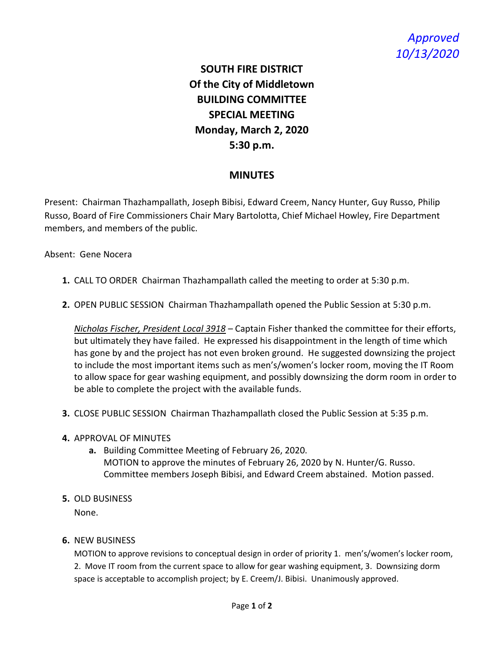## *Approved 10/13/2020*

## **SOUTH FIRE DISTRICT Of the City of Middletown BUILDING COMMITTEE SPECIAL MEETING Monday, March 2, 2020 5:30 p.m.**

## **MINUTES**

Present: Chairman Thazhampallath, Joseph Bibisi, Edward Creem, Nancy Hunter, Guy Russo, Philip Russo, Board of Fire Commissioners Chair Mary Bartolotta, Chief Michael Howley, Fire Department members, and members of the public.

Absent: Gene Nocera

- **1.** CALL TO ORDER Chairman Thazhampallath called the meeting to order at 5:30 p.m.
- **2.** OPEN PUBLIC SESSION Chairman Thazhampallath opened the Public Session at 5:30 p.m.

*Nicholas Fischer, President Local 3918* – Captain Fisher thanked the committee for their efforts, but ultimately they have failed. He expressed his disappointment in the length of time which has gone by and the project has not even broken ground. He suggested downsizing the project to include the most important items such as men's/women's locker room, moving the IT Room to allow space for gear washing equipment, and possibly downsizing the dorm room in order to be able to complete the project with the available funds.

- **3.** CLOSE PUBLIC SESSION Chairman Thazhampallath closed the Public Session at 5:35 p.m.
- **4.** APPROVAL OF MINUTES
	- **a.** Building Committee Meeting of February 26, 2020. MOTION to approve the minutes of February 26, 2020 by N. Hunter/G. Russo. Committee members Joseph Bibisi, and Edward Creem abstained. Motion passed.
- **5.** OLD BUSINESS

None.

## **6.** NEW BUSINESS

MOTION to approve revisions to conceptual design in order of priority 1. men's/women's locker room, 2. Move IT room from the current space to allow for gear washing equipment, 3. Downsizing dorm space is acceptable to accomplish project; by E. Creem/J. Bibisi. Unanimously approved.